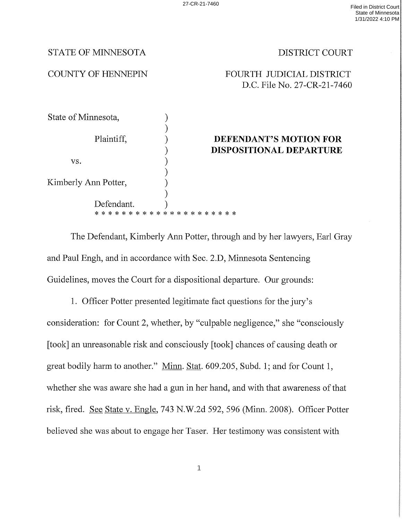## STATE OF MINNESOTA DISTRICT COURT

# COUNTY OF HENNEPIN FOURTH JUDICIAL DISTRICT D.C. File No. 27—CR-21-7460

| State of Minnesota,  |                                                   |  |
|----------------------|---------------------------------------------------|--|
| Plaintiff,           | DEFENDANT'S MOTION FOR<br>DISPOSITIONAL DEPARTURE |  |
| VS.                  |                                                   |  |
| Kimberly Ann Potter, |                                                   |  |
| Defendant.           |                                                   |  |

The Defendant, Kimberly Ann Potter, through and by her lawyers, Earl Gray and Paul Engh, and in accordance with Sec. 2.D, Minnesota Sentencing Guidelines, moves the Court for a dispositional departure. Our grounds:

l. Officer Potter presented legitimate fact questions for the jury's consideration: for Count 2, Whether, by "culpable negligence," she "consciously [took] an unreasonable risk and consciously [took] chances of causing death or great bodily harm to another." Minn. Stat. 609.205, Subd. 1; and for Count 1, whether she was aware she had a gun in her hand, and with that awareness of that risk, fired. See State v. Engle, 743 N.W.2d 592, 596 (Minn. 2008). Officer Potter believed she was about to engage her Taser. Her testimony was consistent with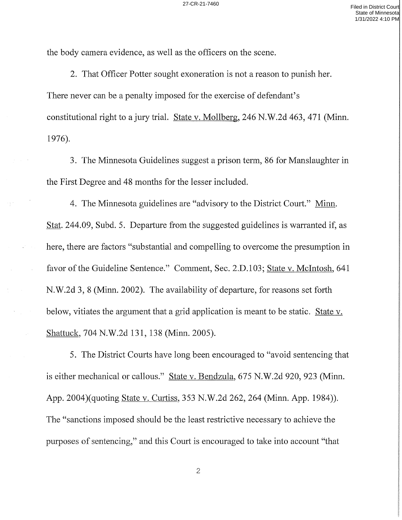the body camera evidence, as well as the officers on the scene.

2. That Officer Potter sought exoneration is not a reason to punish her. There never can be a penalty imposed for the exercise of defendant's constitutional right to jury trial. State V. Mollberg, 246 N.W.2d 463, 471 (Minn. 1976).

3. The Minnesota Guidelines suggest a prison term, 86 for Manslaughter in the First Degree and 48 months for the lesser included.

4. The Minnesota guidelines are "advisory to the District Court." Minn. Stat. 244.09, Subd. 5. Departure from the suggested guidelines is warranted if, as here, there are factors "substantial and compelling to overcome the presumption in favor of the Guideline Sentence." Comment, Sec. 2.D.103; State v. McIntosh, 641 N.W.2d 3, 8 (Minn. 2002). The availability of departure, for reasons set forth below, vitiates the argument that a grid application is meant to be static. State v. Shattuck, 704 N.W.2d 131, <sup>138</sup> (Minn. 2005).

5. The District Courts have long been encouraged to "avoid sentencing that is either mechanical or callous." State v. Bendzula, 675 N.W.2d 920, 923 (Minn. App. 2004)(quoting State V. Curtiss, 353 N.W.2d 262, 264 (Minn. App. 1984)). The "sanctions imposed should be the least restrictive necessary to achieve the purposes of sentencing," and this Court is encouraged to take into account "that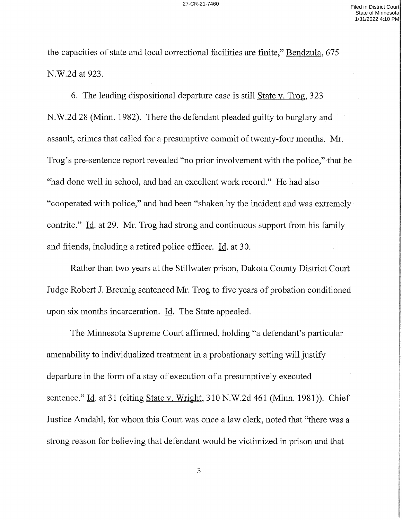the capacities of state and local correctional facilities are finite," Bendzula, 675 N.W.2d at 923.

6. The leading dispositional departure case is still State V. Trog, 323 N.W.2d 28 (Minn. 1982). There the defendant pleaded guilty to burglary and assault, crimes that called for a presumptive commit of twenty-four months. Mr. Trog's pre-sentence report revealed "no prior involvement with the police," that he "had done well in school, and had an excellent work record." He had also "cooperated With police," and had been "shaken by the incident and was extremely contrite." I<u>d</u>. at 29. Mr. Trog had strong and continuous support from his family and friends, including a retired police officer. Id. at 30.

Rather than two years at the Stillwater prison, Dakota County District Court Judge Robert J. Breunig sentenced Mr. Trog to five years of probation conditioned upon six months incarceration. Id. The State appealed.

The Minnesota Supreme Court affirmed, holding "a defendant's particular amenability to individualized treatment in a probationary setting will justify departure in the form of a stay of execution of a presumptively executed sentence." Id. at 31 (citing State v. Wright, 310 N.W.2d 461 (Minn. 1981)). Chief Justice Amdahl, for whom this Court was once a law clerk, noted that "there was a strong reason for believing that defendant would be victimized in prison and that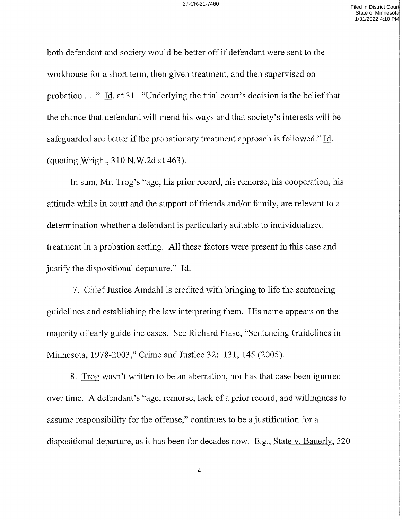both defendant and society would be better off if defendant were sent to the workhouse for a short term, then given treatment, and then supervised on probation  $\ldots$ " Id. at 31. "Underlying the trial court's decision is the belief that the chance that defendant will mend his ways and that society's interests Will be safeguarded are better if the probationary treatment approach is followed."  $\underline{Id}$ . (quoting wright, 310 N.W.2d at 463).

In sum, Mr. Trog's "age, his prior record, his remorse, his cooperation, his attitude while in court and the support of friends and/or family, are relevant to determination whether a defendant is particularly suitable to individualized treatment in a probation setting. All these factors were present in this case and justify the dispositional departure." Id.

7. Chief Justice Amdahl is credited with bringing to life the sentencing guidelines and establishing the law interpreting them. His name appears on the majority of early guideline cases. See Richard Frase, "Sentencing Guidelines in Minnesota, 1978—2003," Crime and Justice 32: 131, 145 (2005).

8. Irgg wasn't written to be an aberration, nor has that case been ignored (over time. A defendant's "age, remorse, lack of a prior record, and willingness to assume responsibility for the offense," continues to be a justification for a dispositional departure, as it has been for decades now. E.g., State V. Bauerly, <sup>520</sup>

 $\overline{4}$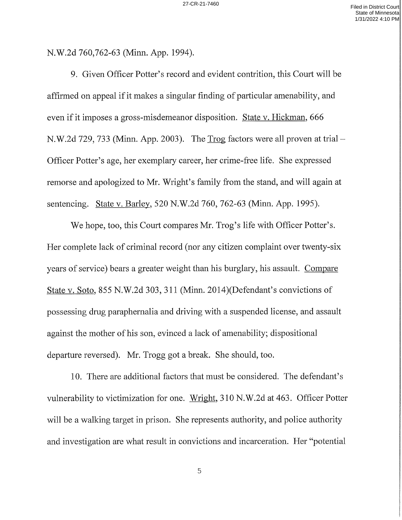N.W.2d 760,762-63 (Minn. App. 1994).

9. Given Officer Potter's record and evident contrition, this Court will be affirmed on appeal if it makes a singular finding of particular amenability, and even if it imposes a gross-misdemeanor disposition. State v. Hickman, 666 N.W.2d 729, 733 (Minn. App. 2003). The  $T_{PQ}$  factors were all proven at trial – Officer Potter's age, her exemplary career, her crime-free life. She expressed remorse and apologized to Mr. Wright's family from the stand, and Will again at sentencing. State v. Barley, 520 N.W.2d 760, 762-63 (Minn. App. 1995).

We hope, too, this Court compares Mr. Trog's life with Officer Potter's. Her complete lack of criminal record (nor any citizen complaint over twenty-six years of service) bears a greater weight than his burglary, his assault. <u>Compare</u> State v. Soto, 855 N.W.2d 303, 311 (Minn. 2014)(Defendant's convictions of possessing drug paraphernalia and driving with a suspended license, and assault against the mother of his son, evinced a lack of amenability; dispositional departure reversed). Mr. Trogg got a break. She should, too.

lO. There are additional factors that must be considered. The defendant's vulnerability to victimization for one. Wright, 310 N.W.2d at 463. Officer Potter will be a walking target in prison. She represents authority, and police authority and investigation are what result in convictions and incarceration. Her "potential

5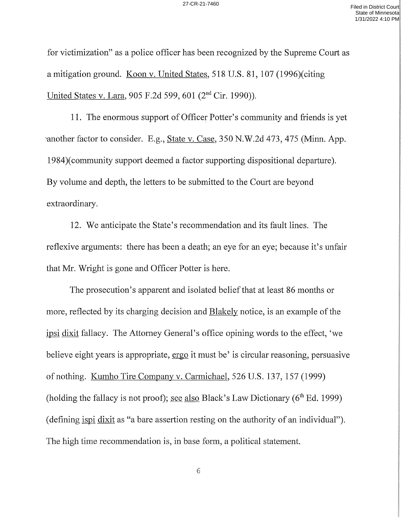for Victimization" as police officer has been recognized by the Supreme Court as a mitigation ground. Koon v. United States, 518 U.S. 81, 107 (1996) (citing United States V. Lara, 905 F.2d 599, 601 (2nd Cir. 1990)).

11. The enormous support of Officer Potter's community and friends is yet another factor to consider. E.g., State v. Case, 350 N.W.2d 473, 475 (Minn. App.) 1984)(community support deemed a factor supporting dispositional departure). By volume and depth, the letters to be submitted to the Court are beyond extraordinary.

12. We anticipate the State's recommendation and its fault lines. The reflexive arguments: there has been a death; an eye for an eye; because it's unfair that Mr. Wright is gone and Officer Potter is here.

The prosecution's apparent and isolated belief that at least 86 months or more, reflected by its charging decision and <u>Blakely</u> notice, is an example of the ipsi dixit fallacy. The Attorney General's office opining words to the effect, 'we believe eight years is appropriate, <u>ergo</u> it must be' is circular reasoning, persuasive of nothing. Kumho Tire Company v. Carmichael, 526 U.S. 137, <sup>157</sup> (1999) (holding the fallacy is not proof); see also Black's Law Dictionary ( $6<sup>th</sup>$  Ed. 1999) (defining ispi dixit as "a bare assertion resting on the authority of an individual"). The high time recommendation is, in base form, a political statement.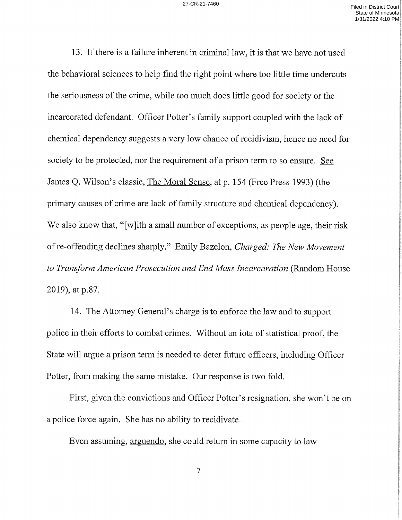13. If there is a failure inherent in criminal law, it is that we have not used the behavioral sciences to help find the right point Where too little time undercuts the seriousness of the crime, while too much does little good for society or the incarcerated defendant. Officer Potter's family support coupled with the lack of chemical dependency suggests a very low chance of recidivism, hence no need for society to be protected, nor the requirement of a prison term to so ensure. See James Q. Wilson's classic, The Moral Sense, at p. <sup>154</sup> (Free Press 1993) (the primary causes of crime are lack of family structure and chemical dependency). We also know that, "[w]ith a small number of exceptions, as people age, their risk of re-offending declines sharply." Emily Bazelon, Charged: The New Movement to Transform American Prosecution and End Mass Incarcaration (Random House 2019), at p.87.

l4. The Attorney General's charge is to enforce the law and to support police in their efforts to combat crimes. Without an iota of statistical proof, the State will argue a prison term is needed to deter future officers, including Officer Potter, from making the same mistake. Our response is two fold.

First, given the convictions and Officer Potter's resignation, she won't be on police force again. She has no ability to recidivate.

Even assuming, arguendo, she could return in some capacity to law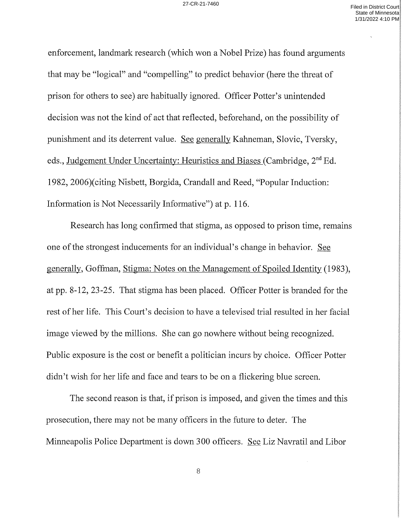enforcement, landmark research (which won a Nobel Prize) has found arguments that may be "logical" and "compelling" to predict behavior (here the threat of prison for others to see) are habitually ignored. Officer Potter's unintended decision was not the kind of act that reflected, beforehand, on the possibility of punishment and its deterrent value. See generally Kahneman, Slovic, Tversky, eds., Judgement Under Uncertainty: Heuristics and Biases (Cambridge, 2<sup>nd</sup> Ed. 1982, 2006)(citing Nisbett, Borgida, Crandall and Reed, "Popular Induction: Information is Not Necessarily Informative") at p. 116.

Research has long confirmed that stigma, as opposed to prison time, remains one of the strongest inducements for an individual's change in behavior. See generally, Goffman, Stigma: Notes on the Management of Spoiled Identity (1983), at pp. 8—12, 23 —25. That stigma has been placed. Officer Potter is branded for the rest of her life. This Court's decision to have a televised trial resulted in her facial image viewed by the millions. She can go nowhere without being recognized. Public exposure is the cost or benefit a politician incurs by choice. Officer Potter didn't wish for her life and face and tears to be on a flickering blue screen.

The second reason is that, if prison is imposed, and given the times and this prosecution, there may not be many officers in the future to deter. The Minneapolis Police Department is down 300 officers. See Liz Navratil and Libor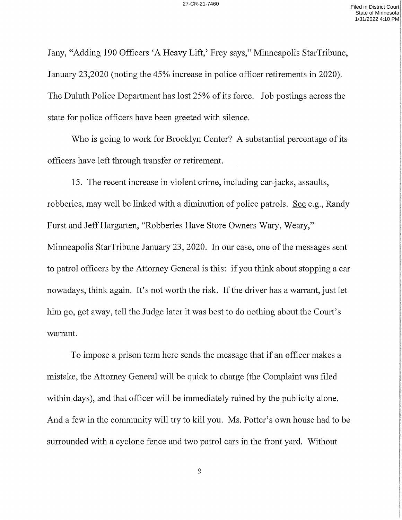any, "Adding <sup>190</sup> Officers 'A Heavy Lift,' Frey says," Minneapolis StarTribune, January 23,2020 (noting the 45% increase in police officer retirements in 2020). The Duluth Police Department has lost 25% of its force. Job postings across the state for police officers have been greeted with silence.

Who is going to work for Brooklyn Center? A substantial percentage of its officers have left through transfer or retirement.

15. The recent increase in violent crime, including car-jacks, assaults, robberies, may well be linked with a diminution of police patrols. See e.g., Randy Furst and Jeff Hargarten, "Robberies Have Store Owners Wary, Weary," Minneapolis StarTribune January 23, 2020. In our case, one of the messages sent to patrol officers by the Attorney General is this: if you think about stopping a car nowadays, think again. It's not worth the risk. If the driver has a warrant, just let him go, get away, tell the Judge later it was best to do nothing about the Court's warrant.

To impose a prison term here sends the message that if an officer makes a mistake, the Attorney General will be quick to charge (the Complaint was filed within days), and that officer will be immediately ruined by the publicity alone. And a few in the community will try to kill you. Ms. Potter's own house had to be surrounded with a cyclone fence and two patrol cars in the front yard. Without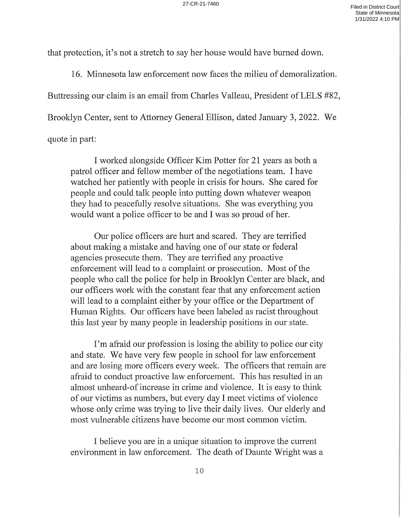that protection, it's not a stretch to say her house would have burned down.

16. Minnesota law enforcement now faces the milieu of demoralization. Buttressing our claim is an email from Charles Valleau, President of LELS #82, Brooklyn Center, sent to Attorney General Ellison, dated January 3, 2022. We quote in part:

I worked alongside Officer Kim Potter for 21 years as both a patrol officer and fellow member of the negotiations team. I have watched her patiently with people in crisis for hours. She cared for people and could talk people into putting down whatever weapon they had to peacefully resolve situations. She was everything you would want a police officer to be and I was so proud of her.

Our police officers are hurt and scared. They are terrified about making a mistake and having one of our state or federal agencies prosecute them. They are terrified any proactive enforcement will lead to a complaint or prosecution. Most of the people who call the police for help in Brooklyn Center are black, and our officers work with the constant fear that any enforcement action will lead to a complaint either by your office or the Department of Human Rights. Our officers have been labeled as racist throughout this last year by many people in leadership positions in our state.

I'm afraid our profession is losing the ability to police our city and state. We have very few people in school for law enforcement and are losing more officers every week. The officers that remain are afraid to conduct proactive law enforcement. This has resulted in an almost unheard—of increase in crime and Violence. It is easy to think of our victims as numbers, but every day I meet victims of violence whose only crime was trying to live their daily lives. Our elderly and most vulnerable citizens have become our most common victim.

I believe you are in a unique situation to improve the current environment in law enforcement. The death of Daunte Wright was a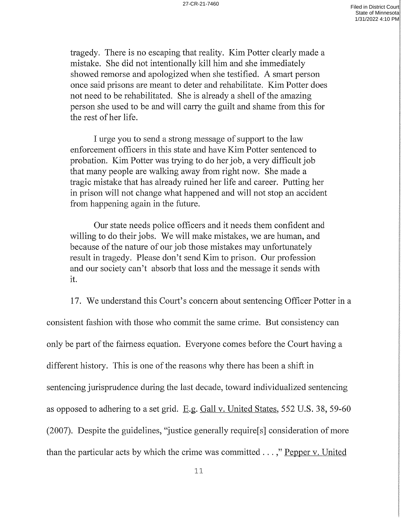tragedy. There is no escaping that reality. Kim Potter clearly made mistake. She did not intentionally kill him and she immediately showed remorse and apologized when she testified. A smart person once said prisons are meant to deter and rehabilitate. Kim Potter does not need to be rehabilitated. She is already a shell of the amazing person she used to be and will carry the guilt and shame from this for the rest of her life.

urge you to send a strong message of support to the law enforcement officers in this state and have Kim Potter sentenced to probation. Kim Potter was trying to do her job, a very difficult job that many people are walking away from right now. She made tragic mistake that has already ruined her life and career. Putting her in prison will not change what happened and will not stop an accident from happening again in the future.

Our state needs police officers and it needs them confident and willing to do their jobs. We will make mistakes, we are human, and because of the nature of our job those mistakes may unfortunately result in tragedy. Please don't send Kim to prison. Our profession and our society can't absorb that loss and the message it sends with it.

l7. We understand this Court's concern about sentencing Officer Potter in consistent fashion with those who commit the same crime. But consistency can only be part of the fairness equation. Everyone comes before the Court having a different history. This is one of the reasons why there has been a shift in sentencing jurisprudence during the last decade, toward individualized sentencing as opposed to adhering to a set grid.  $E.g.$  Gall v. United States, 552 U.S. 38, 59-60 (2007). Despite the guidelines, "justice generally require[s] consideration of more than the particular acts by which the crime was committed . . . ," <u>Pepper v. United</u>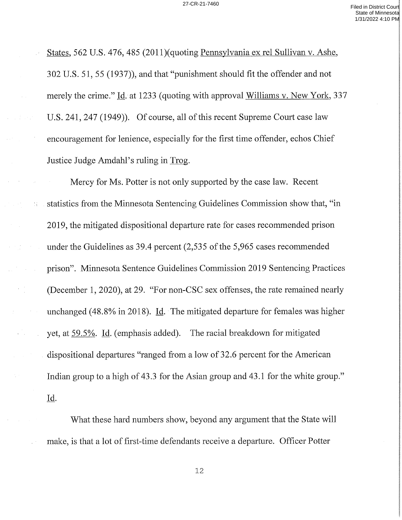States, 562 U.S. 476, 485 (2011)(quoting Pennsylvania ex rel Sullivan v. Ashe, 302 U.S. 51, 55 (1937)), and that "punishment should fit the offender and not merely the crime." Id. at 1233 (quoting with approval Williams v. New York, 337 U.S. 241, 247 (1949)). Of course, all of this recent Supreme Court case law encouragement for lenience, especially for the first time offender, echos Chief Justice Judge Amdahl's ruling in Trog.

Mercy for Ms. Potter is not only supported by the case law. Recent statistics from the Minnesota Sentencing Guidelines Commission show that, "in 2019, the mitigated dispositional departure rate for cases recommended prison under the Guidelines as 39.4 percent  $(2,535)$  of the 5,965 cases recommended prison". Minnesota Sentence Guidelines Commission 2019 Sentencing Practices (December 1, 2020), at 29. "For non—CSC seX offenses, the rate remained nearly unchanged (48.8% in 2018). Id. The mitigated departure for females was higher yet, at 59.5%. Id. (emphasis added). The racial breakdown for mitigated dispositional departures "ranged from a low of 32.6 percent for the American Indian group to a high of 43.3 for the Asian group and 43.1 for the white group." Id.

 $\frac{1}{2}$  )

 $\sqrt{1-\frac{1}{2}}$ 

What these hard numbers show, beyond any argument that the State will make, is that a lot of first-time defendants receive a departure. Officer Potter

12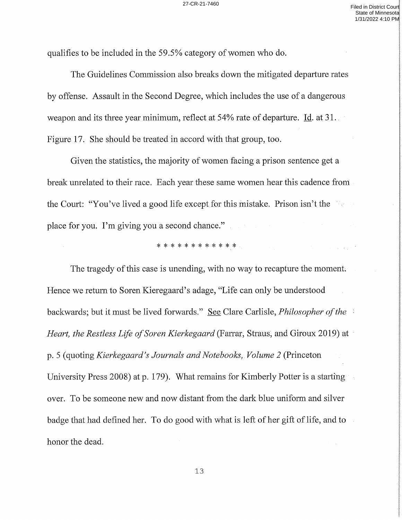qualifies to be included in the 59.5% category of women who do.

The Guidelines Commission also breaks down the mitigated departure rates by offense. Assault in the Second Degree, which includes the use of a dangerous weapon and its three year minimum, reflect at 54% rate of departure. Id. at 31. Figure l7. She should be treated in accord with that group, too.

Given the statistics, the majority of women facing a prison sentence get a break unrelated to their race. Each year these same women hearthis cadence from the Court: "You've lived a good life except for this mistake. Prison isn't the place for you. I'm giving you a second chance."

### \* \* \* \* \* \* \* \* \* \* \* \*

The tragedy of this case is unending, with no way to recapture the moment. Hence we return to Soren Kieregaard's adage, "Life can only be understood backwards; but it must be lived forwards." <u>See</u> Clare Carlisle, *Philosopher of the* Heart, the Restless Life of Soren Kierkegaard (Farrar, Straus, and Giroux 2019) at p. 5 (quoting Kierkegaard's Journals and Notebooks, Volume 2 (Princeton University Press 2008) at p. 179). What remains for Kimberly Potter is a starting over. To be someone new and now distant from the dark blue uniform and silver badge that had defined her. To do good with what is left of her gift of life, and to honor the dead.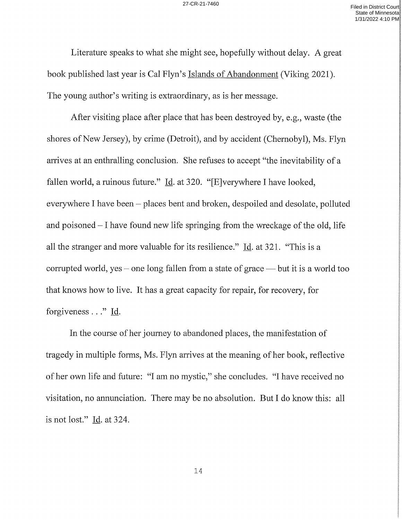Literature speaks to what she might see, hopefully without delay. A great book published last year is Cal Flyn's Islands of Abandonment (Viking 2021). The young author's writing is extraordinary, as is her message.

After visiting place after place that has been destroyed by, e.g., waste (the shores of New Jersey), by crime (Detroit), and by accident (Chernobyl), Ms. Flyn arrives at an enthralling conclusion. She refuses to accept "the inevitability of fallen world, a ruinous future."  $\underline{Id}$ . at 320. "[E]verywhere I have looked, everywhere I have been  $-$  places bent and broken, despoiled and desolate, polluted and poisoned  $-I$  have found new life springing from the wreckage of the old, life all the stranger and more valuable for its resilience." Id. at 321. "This is a corrupted world, yes – one long fallen from a state of grace — but it is a world too that knows how to live. It has great capacity for repair, for recovery, for forgiveness . . ." Id.

In the course of her journey to abandoned places, the manifestation of tragedy in multiple forms, Ms. Flyn arrives at the meaning of her book, reflective of her own life and future: "I am no mystic," she concludes. "I have received no visitation, no annunciation. There may be no absolution. But I do know this: all is not lost."  $\underline{Id}$ . at 324.